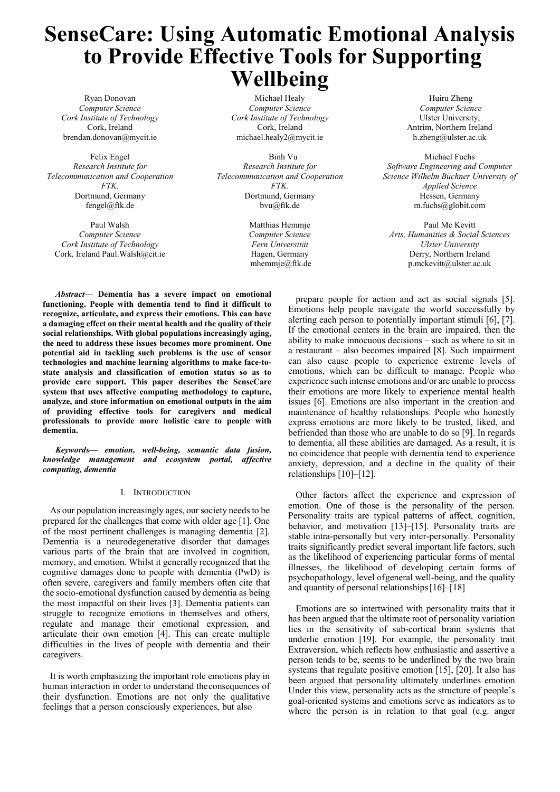# **SenseCare: Using Automatic Emotional Analysis to Provide Effective Tools for Supporting Wellbeing**

Ryan Donovan *Computer Science Cork Institute of Technology*  Cork, Ireland brendan.donovan@mycit.ie

Felix Engel *Research Institute for Telecommunication and Cooperation FTK.*  Dortmund, Germany fengel@ftk.de

Paul Walsh *Computer Science Cork Institute of Technology*  Cork, Ireland Paul.Walsh@cit.ie

Michael Healy *Computer Science Cork Institute of Technology*  Cork, Ireland michael.healy2@mycit.ie

 Binh Vu *Research Institute for Telecommunication and Cooperation FTK.*  Dortmund, Germany bvu@ftk.de

> Matthias Hemmje *Computer Science Fern Universität*  Hagen, Germany mhemmje@ftk.de

 Huiru Zheng *Computer Science* Ulster University, Antrim, Northern Ireland h.zheng@ulster.ac.uk

Michael Fuchs *Software Engineering and Computer Science Wilhelm Büchner University of Applied Science*  Hessen, Germany m.fuchs@globit.com

Paul Mc Kevitt *Arts, Humanities & Social Sciences Ulster University*  Derry, Northern Ireland p.mckevitt@ulster.ac.uk

*Abstract***— Dementia has a severe impact on emotional functioning. People with dementia tend to find it difficult to recognize, articulate, and express their emotions. This can have a damaging effect on their mental health and the quality of their social relationships. With global populations increasingly aging, the need to address these issues becomes more prominent. One potential aid in tackling such problems is the use of sensor technologies and machine learning algorithms to make face-tostate analysis and classification of emotion status so as to provide care support. This paper describes the SenseCare system that uses affective computing methodology to capture, analyze, and store information on emotional outputs in the aim of providing effective tools for caregivers and medical professionals to provide more holistic care to people with dementia.**

*Keywords— emotion, well-being, semantic data fusion, knowledge management and ecosystem portal, affective computing, dementia* 

#### I. INTRODUCTION

As our population increasingly ages, our society needs to be prepared for the challenges that come with older age [1]. One of the most pertinent challenges is managing dementia [2]. Dementia is a neurodegenerative disorder that damages various parts of the brain that are involved in cognition, memory, and emotion. Whilst it generally recognized that the cognitive damages done to people with dementia (PwD) is often severe, caregivers and family members often cite that the socio-emotional dysfunction caused by dementia as being the most impactful on their lives [3]. Dementia patients can struggle to recognize emotions in themselves and others, regulate and manage their emotional expression, and articulate their own emotion [4]. This can create multiple difficulties in the lives of people with dementia and their caregivers.

It is worth emphasizing the important role emotions play in human interaction in order to understand the consequences of their dysfunction. Emotions are not only the qualitative feelings that a person consciously experiences, but also

prepare people for action and act as social signals [5]. Emotions help people navigate the world successfully by alerting each person to potentially important stimuli [6], [7]. If the emotional centers in the brain are impaired, then the ability to make innocuous decisions – such as where to sit in a restaurant – also becomes impaired [8]. Such impairment can also cause people to experience extreme levels of emotions, which can be difficult to manage. People who experience such intense emotions and/or are unable to process their emotions are more likely to experience mental health issues [6]. Emotions are also important in the creation and maintenance of healthy relationships. People who honestly express emotions are more likely to be trusted, liked, and befriended than those who are unable to do so [9]. In regards to dementia, all these abilities are damaged. As a result, it is no coincidence that people with dementia tend to experience anxiety, depression, and a decline in the quality of their relationships [10]–[12].

Other factors affect the experience and expression of emotion. One of those is the personality of the person. Personality traits are typical patterns of affect, cognition, behavior, and motivation [13]–[15]. Personality traits are stable intra-personally but very inter-personally. Personality traits significantly predict several important life factors, such as the likelihood of experiencing particular forms of mental illnesses, the likelihood of developing certain forms of psychopathology, level of general well-being, and the quality and quantity of personal relationships [16]–[18]

Emotions are so intertwined with personality traits that it has been argued that the ultimate root of personality variation lies in the sensitivity of sub-cortical brain systems that underlie emotion [19]. For example, the personality trait Extraversion, which reflects how enthusiastic and assertive a person tends to be, seems to be underlined by the two brain systems that regulate positive emotion [15], [20]. It also has been argued that personality ultimately underlines emotion Under this view, personality acts as the structure of people's goal-oriented systems and emotions serve as indicators as to where the person is in relation to that goal (e.g. anger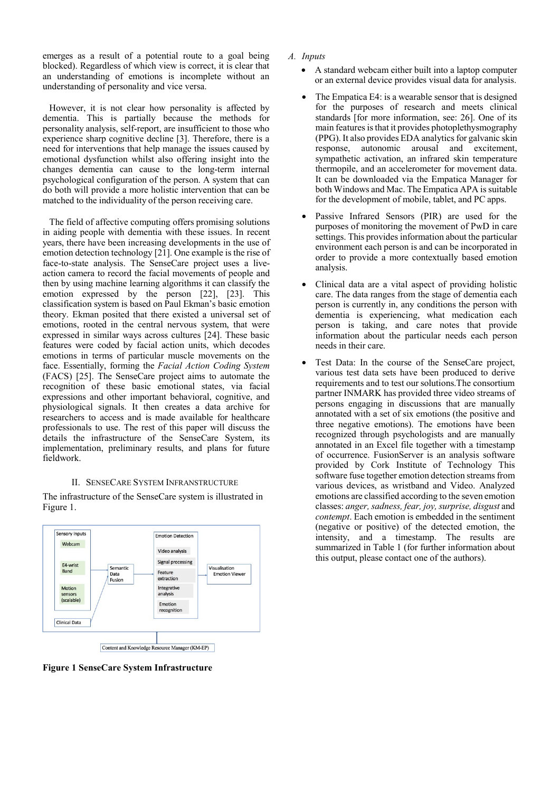emerges as a result of a potential route to a goal being blocked). Regardless of which view is correct, it is clear that an understanding of emotions is incomplete without an understanding of personality and vice versa.

However, it is not clear how personality is affected by dementia. This is partially because the methods for personality analysis, self-report, are insufficient to those who experience sharp cognitive decline [3]. Therefore, there is a need for interventions that help manage the issues caused by emotional dysfunction whilst also offering insight into the changes dementia can cause to the long-term internal psychological configuration of the person. A system that can do both will provide a more holistic intervention that can be matched to the individuality of the person receiving care.

The field of affective computing offers promising solutions in aiding people with dementia with these issues. In recent years, there have been increasing developments in the use of emotion detection technology [21]. One example is the rise of face-to-state analysis. The SenseCare project uses a liveaction camera to record the facial movements of people and then by using machine learning algorithms it can classify the emotion expressed by the person [22], [23]. This classification system is based on Paul Ekman's basic emotion theory. Ekman posited that there existed a universal set of emotions, rooted in the central nervous system, that were expressed in similar ways across cultures [24]. These basic features were coded by facial action units, which decodes emotions in terms of particular muscle movements on the face. Essentially, forming the *Facial Action Coding System*  (FACS) [25]. The SenseCare project aims to automate the recognition of these basic emotional states, via facial expressions and other important behavioral, cognitive, and physiological signals. It then creates a data archive for researchers to access and is made available for healthcare professionals to use. The rest of this paper will discuss the details the infrastructure of the SenseCare System, its implementation, preliminary results, and plans for future fieldwork.

#### II. SENSECARE SYSTEM INFRANSTRUCTURE

The infrastructure of the SenseCare system is illustrated in Figure 1.



**Figure 1 SenseCare System Infrastructure** 

- *A. Inputs* 
	- A standard webcam either built into a laptop computer or an external device provides visual data for analysis.
	- The Empatica E4: is a wearable sensor that is designed for the purposes of research and meets clinical standards [for more information, see: 26]. One of its main features is that it provides photoplethysmography (PPG). It also provides EDA analytics for galvanic skin response, autonomic arousal and excitement, sympathetic activation, an infrared skin temperature thermopile, and an accelerometer for movement data. It can be downloaded via the Empatica Manager for both Windows and Mac. The Empatica APA is suitable for the development of mobile, tablet, and PC apps.
	- Passive Infrared Sensors (PIR) are used for the purposes of monitoring the movement of PwD in care settings. This provides information about the particular environment each person is and can be incorporated in order to provide a more contextually based emotion analysis.
	- Clinical data are a vital aspect of providing holistic care. The data ranges from the stage of dementia each person is currently in, any conditions the person with dementia is experiencing, what medication each person is taking, and care notes that provide information about the particular needs each person needs in their care.
	- Test Data: In the course of the SenseCare project, various test data sets have been produced to derive requirements and to test our solutions.The consortium partner INMARK has provided three video streams of persons engaging in discussions that are manually annotated with a set of six emotions (the positive and three negative emotions). The emotions have been recognized through psychologists and are manually annotated in an Excel file together with a timestamp of occurrence. FusionServer is an analysis software provided by Cork Institute of Technology This software fuse together emotion detection streams from various devices, as wristband and Video. Analyzed emotions are classified according to the seven emotion classes: *anger, sadness, fear, joy, surprise, disgust* and *contempt*. Each emotion is embedded in the sentiment (negative or positive) of the detected emotion, the intensity, and a timestamp. The results are summarized in Table 1 (for further information about this output, please contact one of the authors).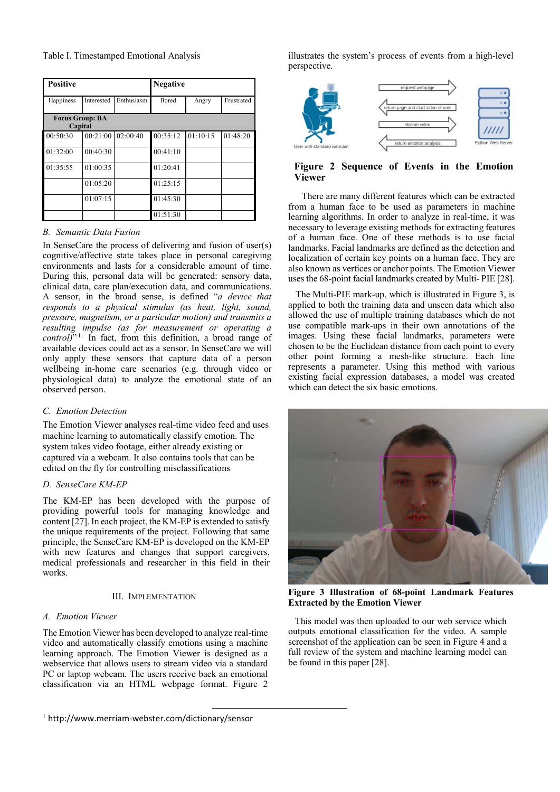Table I. Timestamped Emotional Analysis

| <b>Positive</b>                   |            |            | <b>Negative</b> |          |            |
|-----------------------------------|------------|------------|-----------------|----------|------------|
| Happiness                         | Interested | Enthusiasm | Bored           | Angry    | Frustrated |
| <b>Focus Group: BA</b><br>Capital |            |            |                 |          |            |
| 00:50:30                          | 00:21:00   | 02:00:40   | 00:35:12        | 01:10:15 | 01:48:20   |
| 01:32:00                          | 00:40:30   |            | 00:41:10        |          |            |
| 01:35:55                          | 01:00:35   |            | 01:20:41        |          |            |
|                                   | 01:05:20   |            | 01:25:15        |          |            |
|                                   | 01:07:15   |            | 01:45:30        |          |            |
|                                   |            |            | 01:51:30        |          |            |

# *B. Semantic Data Fusion*

In SenseCare the process of delivering and fusion of user(s) cognitive/affective state takes place in personal caregiving environments and lasts for a considerable amount of time. During this, personal data will be generated: sensory data, clinical data, care plan/execution data, and communications. A sensor, in the broad sense, is defined "*a device that responds to a physical stimulus (as heat, light, sound, pressure, magnetism, or a particular motion) and transmits a resulting impulse (as for measurement or operating a control)*<sup>"1</sup> In fact, from this definition, a broad range of available devices could act as a sensor. In SenseCare we will only apply these sensors that capture data of a person wellbeing in-home care scenarios (e.g. through video or physiological data) to analyze the emotional state of an observed person.

## *C. Emotion Detection*

The Emotion Viewer analyses real-time video feed and uses machine learning to automatically classify emotion. The system takes video footage, either already existing or captured via a webcam. It also contains tools that can be edited on the fly for controlling misclassifications

## *D. SenseCare KM-EP*

The KM-EP has been developed with the purpose of providing powerful tools for managing knowledge and content [27]. In each project, the KM-EP is extended to satisfy the unique requirements of the project. Following that same principle, the SenseCare KM-EP is developed on the KM-EP with new features and changes that support caregivers, medical professionals and researcher in this field in their works.

## III. IMPLEMENTATION

## *A. Emotion Viewer*

The Emotion Viewer has been developed to analyze real-time video and automatically classify emotions using a machine learning approach. The Emotion Viewer is designed as a webservice that allows users to stream video via a standard PC or laptop webcam. The users receive back an emotional classification via an HTML webpage format. Figure 2

illustrates the system's process of events from a high-level perspective.



**Figure 2 Sequence of Events in the Emotion Viewer**

 There are many different features which can be extracted from a human face to be used as parameters in machine learning algorithms. In order to analyze in real-time, it was necessary to leverage existing methods for extracting features of a human face. One of these methods is to use facial landmarks. Facial landmarks are defined as the detection and localization of certain key points on a human face. They are also known as vertices or anchor points. The Emotion Viewer uses the 68-point facial landmarks created by Multi- PIE [28]*.* 

The Multi-PIE mark-up, which is illustrated in Figure 3, is applied to both the training data and unseen data which also allowed the use of multiple training databases which do not use compatible mark-ups in their own annotations of the images. Using these facial landmarks, parameters were chosen to be the Euclidean distance from each point to every other point forming a mesh-like structure. Each line represents a parameter. Using this method with various existing facial expression databases, a model was created which can detect the six basic emotions.



**Figure 3 Illustration of 68-point Landmark Features Extracted by the Emotion Viewer** 

This model was then uploaded to our web service which outputs emotional classification for the video. A sample screenshot of the application can be seen in Figure 4 and a full review of the system and machine learning model can be found in this paper [28].

<sup>&</sup>lt;sup>1</sup> http://www.merriam-webster.com/dictionary/sensor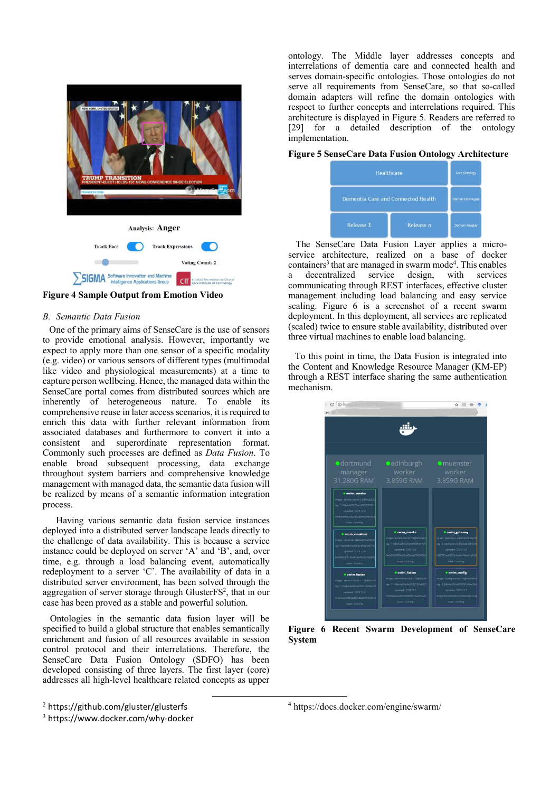

**Figure 4 Sample Output from Emotion Video** 

#### *B. Semantic Data Fusion*

One of the primary aims of SenseCare is the use of sensors to provide emotional analysis. However, importantly we expect to apply more than one sensor of a specific modality (e.g. video) or various sensors of different types (multimodal like video and physiological measurements) at a time to capture person wellbeing. Hence, the managed data within the SenseCare portal comes from distributed sources which are inherently of heterogeneous nature. To enable its comprehensive reuse in later access scenarios, it is required to enrich this data with further relevant information from associated databases and furthermore to convert it into a consistent and superordinate representation format. Commonly such processes are defined as *Data Fusion*. To enable broad subsequent processing, data exchange throughout system barriers and comprehensive knowledge management with managed data, the semantic data fusion will be realized by means of a semantic information integration process.

Having various semantic data fusion service instances deployed into a distributed server landscape leads directly to the challenge of data availability. This is because a service instance could be deployed on server 'A' and 'B', and, over time, e.g. through a load balancing event, automatically redeployment to a server 'C'. The availability of data in a distributed server environment, has been solved through the aggregation of server storage through GlusterFS<sup>2</sup>, that in our case has been proved as a stable and powerful solution.

Ontologies in the semantic data fusion layer will be specified to build a global structure that enables semantically enrichment and fusion of all resources available in session control protocol and their interrelations. Therefore, the SenseCare Data Fusion Ontology (SDFO) has been developed consisting of three layers. The first layer (core) addresses all high-level healthcare related concepts as upper

ontology. The Middle layer addresses concepts and interrelations of dementia care and connected health and serves domain-specific ontologies. Those ontologies do not serve all requirements from SenseCare, so that so-called domain adapters will refine the domain ontologies with respect to further concepts and interrelations required. This architecture is displayed in Figure 5. Readers are referred to [29] for a detailed description of the ontology implementation.

# **Figure 5 SenseCare Data Fusion Ontology Architecture**

| Healthcare                         |           | Core Ortology            |
|------------------------------------|-----------|--------------------------|
| Dementia Care and Connected Health |           | <b>Domain Ontologies</b> |
| Release 1                          | Release n | Domain Adapter           |

The SenseCare Data Fusion Layer applies a microservice architecture, realized on a base of docker containers<sup>3</sup> that are managed in swarm mode<sup>4</sup>. This enables a decentralized service design, with services communicating through REST interfaces, effective cluster management including load balancing and easy service scaling. Figure 6 is a screenshot of a recent swarm deployment. In this deployment, all services are replicated (scaled) twice to ensure stable availability, distributed over three virtual machines to enable load balancing.

To this point in time, the Data Fusion is integrated into the Content and Knowledge Resource Manager (KM-EP) through a REST interface sharing the same authentication mechanism.

| $201 - 1$                                             |                                                 |                                                  |
|-------------------------------------------------------|-------------------------------------------------|--------------------------------------------------|
|                                                       |                                                 |                                                  |
|                                                       |                                                 |                                                  |
|                                                       |                                                 |                                                  |
| · dortmund                                            | edinburgh                                       | <b>O</b> muenster                                |
| manager                                               | worker                                          | worker                                           |
| 31.280G RAM                                           | 3.859G RAM                                      | 3.859G RAM                                       |
|                                                       |                                                 |                                                  |
| <b>* owim cureka</b>                                  |                                                 |                                                  |
| image: aureka-server:1.6@sha256                       |                                                 |                                                  |
| teg: 1.6@uNa256:23ecoP3035997d1<br>updated: 23/8 12:3 |                                                 |                                                  |
| <b>RIPLAMETH TOLT IS AUTO LOPPATRA</b>                |                                                 |                                                  |
| <b>State Enumning</b>                                 |                                                 |                                                  |
| · owim_visualizer                                     | <b>* owim eureka</b>                            | <b>@ owim_gateway</b>                            |
| image: visualiteratable@sha2563                       | Inage : eureka-pervent 6@sha256                 | mage: piteway:1.5@sha256:5c23d                   |
| ing: stable@sha256:bc6801326772                       | tag: 1.60aha256:23eoir3035997d1                 | tail: 1.50sha2565c23dbabb66fcc6f                 |
| updated : 22/8 12:3                                   | updated : 22/8 12:5                             | Godwin (1228 12:3)                               |
| 6:5030+20015=301+44259x10u5bf                         | Tera935f6824b28d45ada2745966<br>state : rumming | marrizedBS95e1bd4a10be3co7o2<br>state : running  |
| state : nunning                                       |                                                 |                                                  |
| <b>a awim fusion</b>                                  | <b>* owim_fusion</b>                            | <b>a</b> owim_config                             |
| image: pemanticfusion:1:168eha25                      | hare : perturbic fusion: 1.160 ma25             | inage : config-aerver 1.1@sha25Exd               |
| tag: 1.15#sha256:462922132afa371                      | tag: 1.16@sha256.4b2922132ahs371                | tag: 1,1@sha258.e555f701o8ba35d                  |
| updated : 22/8 13:3                                   | updated: 22/8 12:3                              | updated: 22/8 12:3                               |
| dceeabedZd61ad6748beli3f66650cd                       | 192454-01151300656076103dad7                    | 540115+fc4b5c63bc13d5dd52+714+<br>state: running |
|                                                       | state: numine                                   |                                                  |

**Figure 6 Recent Swarm Development of SenseCare System** 

 <sup>2</sup> https://github.com/gluster/glusterfs

<sup>3</sup> https://www.docker.com/why-docker

<sup>4</sup> https://docs.docker.com/engine/swarm/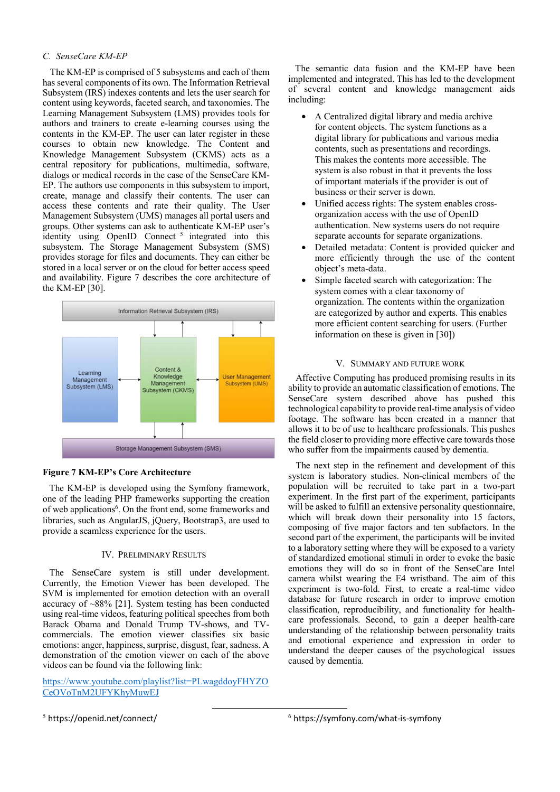### *C. SenseCare KM-EP*

The KM-EP is comprised of 5 subsystems and each of them has several components of its own. The Information Retrieval Subsystem (IRS) indexes contents and lets the user search for content using keywords, faceted search, and taxonomies. The Learning Management Subsystem (LMS) provides tools for authors and trainers to create e-learning courses using the contents in the KM-EP. The user can later register in these courses to obtain new knowledge. The Content and Knowledge Management Subsystem (CKMS) acts as a central repository for publications, multimedia, software, dialogs or medical records in the case of the SenseCare KM-EP. The authors use components in this subsystem to import, create, manage and classify their contents. The user can access these contents and rate their quality. The User Management Subsystem (UMS) manages all portal users and groups. Other systems can ask to authenticate KM-EP user's identity using OpenID Connect<sup>5</sup> integrated into this subsystem. The Storage Management Subsystem (SMS) provides storage for files and documents. They can either be stored in a local server or on the cloud for better access speed and availability. Figure 7 describes the core architecture of the KM-EP [30].



#### **Figure 7 KM-EP's Core Architecture**

The KM-EP is developed using the Symfony framework, one of the leading PHP frameworks supporting the creation of web applications<sup>6</sup>. On the front end, some frameworks and libraries, such as AngularJS, jQuery, Bootstrap3, are used to provide a seamless experience for the users.

#### IV. PRELIMINARY RESULTS

The SenseCare system is still under development. Currently, the Emotion Viewer has been developed. The SVM is implemented for emotion detection with an overall accuracy of  $\sim 88\%$  [21]. System testing has been conducted using real-time videos, featuring political speeches from both Barack Obama and Donald Trump TV-shows, and TVcommercials. The emotion viewer classifies six basic emotions: anger, happiness, surprise, disgust, fear, sadness. A demonstration of the emotion viewer on each of the above videos can be found via the following link:

https://www.youtube.com/playlist?list=PLwagddoyFHYZO CeOVoTnM2UFYKhyMuwEJ

 The semantic data fusion and the KM-EP have been implemented and integrated. This has led to the development of several content and knowledge management aids including:

- A Centralized digital library and media archive for content objects. The system functions as a digital library for publications and various media contents, such as presentations and recordings. This makes the contents more accessible. The system is also robust in that it prevents the loss of important materials if the provider is out of business or their server is down.
- Unified access rights: The system enables crossorganization access with the use of OpenID authentication. New systems users do not require separate accounts for separate organizations.
- Detailed metadata: Content is provided quicker and more efficiently through the use of the content object's meta-data.
- Simple faceted search with categorization: The system comes with a clear taxonomy of organization. The contents within the organization are categorized by author and experts. This enables more efficient content searching for users. (Further information on these is given in [30])

#### V. SUMMARY AND FUTURE WORK

Affective Computing has produced promising results in its ability to provide an automatic classification of emotions. The SenseCare system described above has pushed this technological capability to provide real-time analysis of video footage. The software has been created in a manner that allows it to be of use to healthcare professionals. This pushes the field closer to providing more effective care towards those who suffer from the impairments caused by dementia.

The next step in the refinement and development of this system is laboratory studies. Non-clinical members of the population will be recruited to take part in a two-part experiment. In the first part of the experiment, participants will be asked to fulfill an extensive personality questionnaire, which will break down their personality into 15 factors, composing of five major factors and ten subfactors. In the second part of the experiment, the participants will be invited to a laboratory setting where they will be exposed to a variety of standardized emotional stimuli in order to evoke the basic emotions they will do so in front of the SenseCare Intel camera whilst wearing the E4 wristband. The aim of this experiment is two-fold. First, to create a real-time video database for future research in order to improve emotion classification, reproducibility, and functionality for healthcare professionals. Second, to gain a deeper health-care understanding of the relationship between personality traits and emotional experience and expression in order to understand the deeper causes of the psychological issues caused by dementia.

5 https://openid.net/connect/